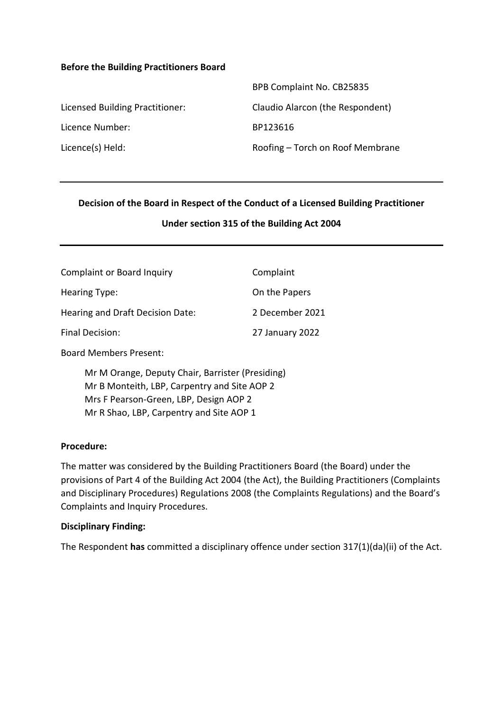#### **Before the Building Practitioners Board**

|                                 | BPB Complaint No. CB25835        |
|---------------------------------|----------------------------------|
| Licensed Building Practitioner: | Claudio Alarcon (the Respondent) |
| Licence Number:                 | BP123616                         |
| Licence(s) Held:                | Roofing – Torch on Roof Membrane |

#### **Decision of the Board in Respect of the Conduct of a Licensed Building Practitioner**

#### **Under section 315 of the Building Act 2004**

| <b>Complaint or Board Inquiry</b> | Complaint       |
|-----------------------------------|-----------------|
| Hearing Type:                     | On the Papers   |
| Hearing and Draft Decision Date:  | 2 December 2021 |
| Final Decision:                   | 27 January 2022 |

Board Members Present:

Mr M Orange, Deputy Chair, Barrister (Presiding) Mr B Monteith, LBP, Carpentry and Site AOP 2 Mrs F Pearson-Green, LBP, Design AOP 2 Mr R Shao, LBP, Carpentry and Site AOP 1

#### **Procedure:**

The matter was considered by the Building Practitioners Board (the Board) under the provisions of Part 4 of the Building Act 2004 (the Act), the Building Practitioners (Complaints and Disciplinary Procedures) Regulations 2008 (the Complaints Regulations) and the Board's Complaints and Inquiry Procedures.

#### **Disciplinary Finding:**

The Respondent **has** committed a disciplinary offence under section 317(1)(da)(ii) of the Act.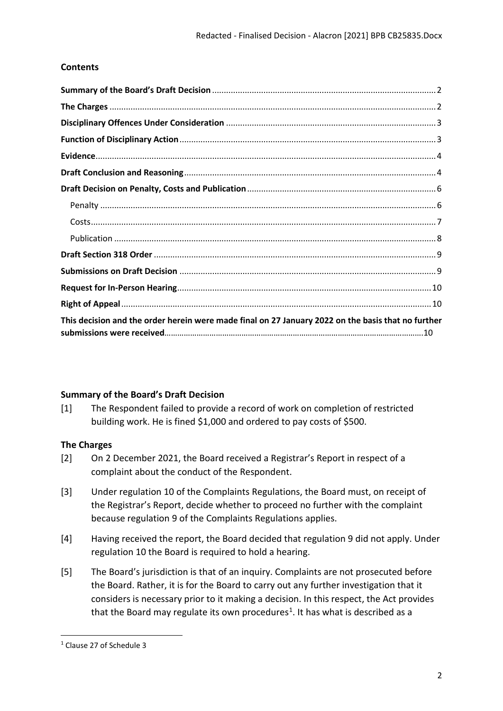# **Contents**

| This decision and the order herein were made final on 27 January 2022 on the basis that no further |  |
|----------------------------------------------------------------------------------------------------|--|

# <span id="page-1-0"></span>**Summary of the Board's Draft Decision**

[1] The Respondent failed to provide a record of work on completion of restricted building work. He is fined \$1,000 and ordered to pay costs of \$500.

# <span id="page-1-1"></span>**The Charges**

- [2] On 2 December 2021, the Board received a Registrar's Report in respect of a complaint about the conduct of the Respondent.
- [3] Under regulation 10 of the Complaints Regulations, the Board must, on receipt of the Registrar's Report, decide whether to proceed no further with the complaint because regulation 9 of the Complaints Regulations applies.
- [4] Having received the report, the Board decided that regulation 9 did not apply. Under regulation 10 the Board is required to hold a hearing.
- [5] The Board's jurisdiction is that of an inquiry. Complaints are not prosecuted before the Board. Rather, it is for the Board to carry out any further investigation that it considers is necessary prior to it making a decision. In this respect, the Act provides that the Board may regulate its own procedures<sup>[1](#page-1-2)</sup>. It has what is described as a

<span id="page-1-2"></span><sup>1</sup> Clause 27 of Schedule 3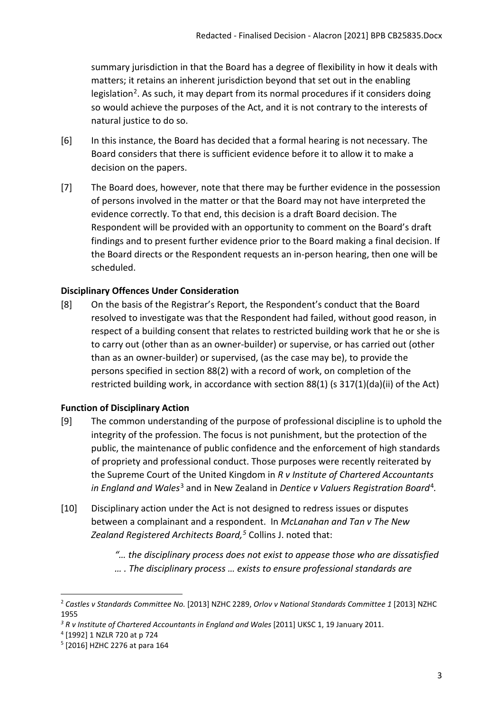summary jurisdiction in that the Board has a degree of flexibility in how it deals with matters; it retains an inherent jurisdiction beyond that set out in the enabling legislation<sup>[2](#page-2-2)</sup>. As such, it may depart from its normal procedures if it considers doing so would achieve the purposes of the Act, and it is not contrary to the interests of natural justice to do so.

- [6] In this instance, the Board has decided that a formal hearing is not necessary. The Board considers that there is sufficient evidence before it to allow it to make a decision on the papers.
- [7] The Board does, however, note that there may be further evidence in the possession of persons involved in the matter or that the Board may not have interpreted the evidence correctly. To that end, this decision is a draft Board decision. The Respondent will be provided with an opportunity to comment on the Board's draft findings and to present further evidence prior to the Board making a final decision. If the Board directs or the Respondent requests an in-person hearing, then one will be scheduled.

## <span id="page-2-0"></span>**Disciplinary Offences Under Consideration**

[8] On the basis of the Registrar's Report, the Respondent's conduct that the Board resolved to investigate was that the Respondent had failed, without good reason, in respect of a building consent that relates to restricted building work that he or she is to carry out (other than as an owner-builder) or supervise, or has carried out (other than as an owner-builder) or supervised, (as the case may be), to provide the persons specified in section 88(2) with a record of work, on completion of the restricted building work, in accordance with section 88(1) (s 317(1)(da)(ii) of the Act)

## <span id="page-2-1"></span>**Function of Disciplinary Action**

- [9] The common understanding of the purpose of professional discipline is to uphold the integrity of the profession. The focus is not punishment, but the protection of the public, the maintenance of public confidence and the enforcement of high standards of propriety and professional conduct. Those purposes were recently reiterated by the Supreme Court of the United Kingdom in *R v Institute of Chartered Accountants in England and Wales*[3](#page-2-3) and in New Zealand in *Dentice v Valuers Registration Board*[4](#page-2-4)*.*
- [10] Disciplinary action under the Act is not designed to redress issues or disputes between a complainant and a respondent. In *McLanahan and Tan v The New Zealand Registered Architects Board, [5](#page-2-5)* Collins J. noted that:
	- *"… the disciplinary process does not exist to appease those who are dissatisfied … . The disciplinary process … exists to ensure professional standards are*

<span id="page-2-2"></span><sup>2</sup> *Castles v Standards Committee No.* [2013] NZHC 2289, *Orlov v National Standards Committee 1* [2013] NZHC 1955

<span id="page-2-3"></span><sup>&</sup>lt;sup>3</sup> R v Institute of Chartered Accountants in England and Wales [2011] UKSC 1, 19 January 2011.

<span id="page-2-4"></span><sup>4</sup> [1992] 1 NZLR 720 at p 724

<span id="page-2-5"></span><sup>5</sup> [2016] HZHC 2276 at para 164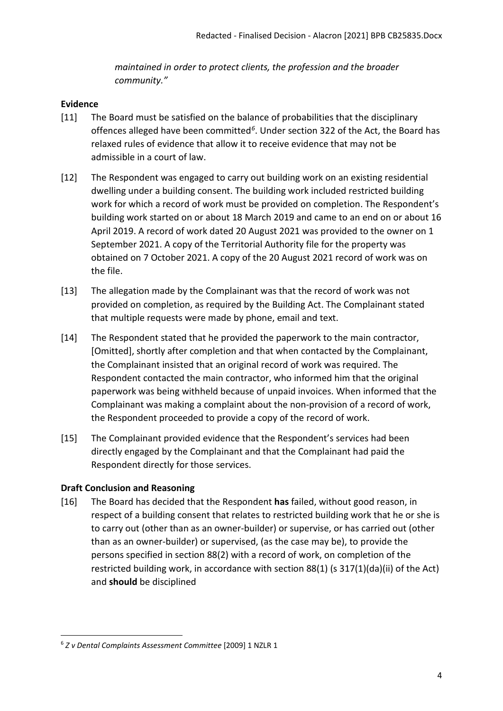*maintained in order to protect clients, the profession and the broader community."*

## <span id="page-3-0"></span>**Evidence**

- [11] The Board must be satisfied on the balance of probabilities that the disciplinary offences alleged have been committed*[6](#page-3-2)*. Under section 322 of the Act, the Board has relaxed rules of evidence that allow it to receive evidence that may not be admissible in a court of law.
- [12] The Respondent was engaged to carry out building work on an existing residential dwelling under a building consent. The building work included restricted building work for which a record of work must be provided on completion. The Respondent's building work started on or about 18 March 2019 and came to an end on or about 16 April 2019. A record of work dated 20 August 2021 was provided to the owner on 1 September 2021. A copy of the Territorial Authority file for the property was obtained on 7 October 2021. A copy of the 20 August 2021 record of work was on the file.
- [13] The allegation made by the Complainant was that the record of work was not provided on completion, as required by the Building Act. The Complainant stated that multiple requests were made by phone, email and text.
- [14] The Respondent stated that he provided the paperwork to the main contractor, [Omitted], shortly after completion and that when contacted by the Complainant, the Complainant insisted that an original record of work was required. The Respondent contacted the main contractor, who informed him that the original paperwork was being withheld because of unpaid invoices. When informed that the Complainant was making a complaint about the non-provision of a record of work, the Respondent proceeded to provide a copy of the record of work.
- [15] The Complainant provided evidence that the Respondent's services had been directly engaged by the Complainant and that the Complainant had paid the Respondent directly for those services.

# <span id="page-3-1"></span>**Draft Conclusion and Reasoning**

[16] The Board has decided that the Respondent **has** failed, without good reason, in respect of a building consent that relates to restricted building work that he or she is to carry out (other than as an owner-builder) or supervise, or has carried out (other than as an owner-builder) or supervised, (as the case may be), to provide the persons specified in section 88(2) with a record of work, on completion of the restricted building work, in accordance with section 88(1) (s 317(1)(da)(ii) of the Act) and **should** be disciplined

<span id="page-3-2"></span><sup>6</sup> *Z v Dental Complaints Assessment Committee* [2009] 1 NZLR 1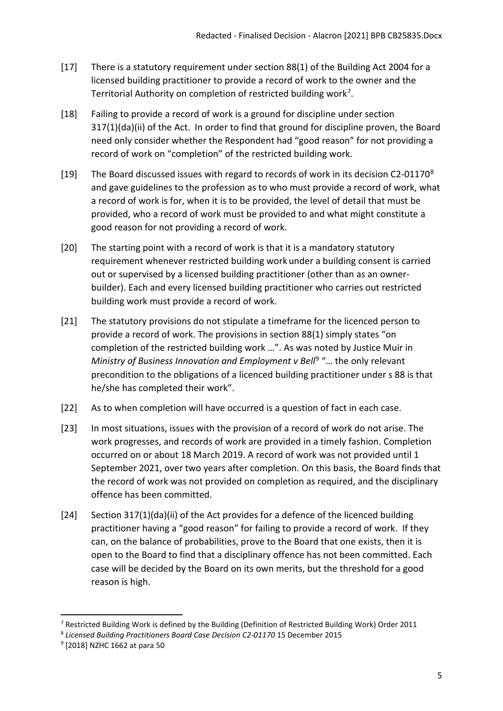- [17] There is a statutory requirement under section 88(1) of the Building Act 2004 for a licensed building practitioner to provide a record of work to the owner and the Territorial Authority on completion of restricted building work<sup>[7](#page-4-0)</sup>.
- [18] Failing to provide a record of work is a ground for discipline under section 317(1)(da)(ii) of the Act. In order to find that ground for discipline proven, the Board need only consider whether the Respondent had "good reason" for not providing a record of work on "completion" of the restricted building work.
- [19] The Board discussed issues with regard to records of work in its decision C2-01170<sup>[8](#page-4-1)</sup> and gave guidelines to the profession as to who must provide a record of work, what a record of work is for, when it is to be provided, the level of detail that must be provided, who a record of work must be provided to and what might constitute a good reason for not providing a record of work.
- [20] The starting point with a record of work is that it is a mandatory statutory requirement whenever restricted building work under a building consent is carried out or supervised by a licensed building practitioner (other than as an ownerbuilder). Each and every licensed building practitioner who carries out restricted building work must provide a record of work.
- [21] The statutory provisions do not stipulate a timeframe for the licenced person to provide a record of work. The provisions in section 88(1) simply states "on completion of the restricted building work …". As was noted by Justice Muir in *Ministry of Business Innovation and Employment v Bell<sup>[9](#page-4-2)</sup> "... the only relevant* precondition to the obligations of a licenced building practitioner under s 88 is that he/she has completed their work".
- [22] As to when completion will have occurred is a question of fact in each case.
- [23] In most situations, issues with the provision of a record of work do not arise. The work progresses, and records of work are provided in a timely fashion. Completion occurred on or about 18 March 2019. A record of work was not provided until 1 September 2021, over two years after completion. On this basis, the Board finds that the record of work was not provided on completion as required, and the disciplinary offence has been committed.
- [24] Section 317(1)(da)(ii) of the Act provides for a defence of the licenced building practitioner having a "good reason" for failing to provide a record of work. If they can, on the balance of probabilities, prove to the Board that one exists, then it is open to the Board to find that a disciplinary offence has not been committed. Each case will be decided by the Board on its own merits, but the threshold for a good reason is high.

<span id="page-4-0"></span><sup>&</sup>lt;sup>7</sup> Restricted Building Work is defined by the Building (Definition of Restricted Building Work) Order 2011

<span id="page-4-1"></span><sup>8</sup> *Licensed Building Practitioners Board Case Decision C2-01170* 15 December 2015

<span id="page-4-2"></span><sup>9</sup> [2018] NZHC 1662 at para 50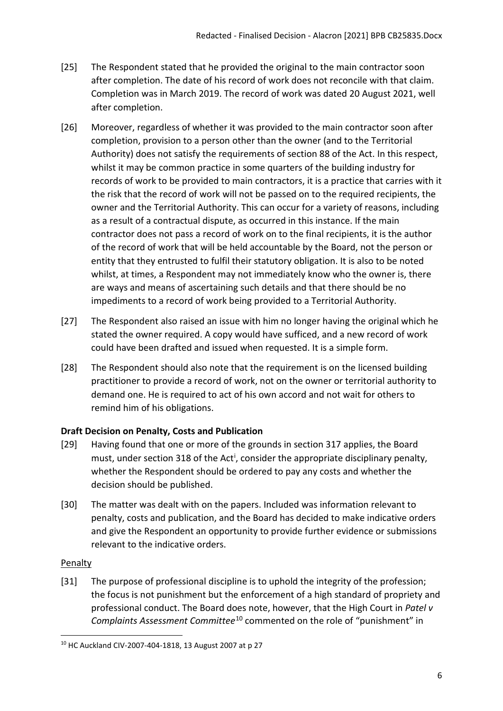- [25] The Respondent stated that he provided the original to the main contractor soon after completion. The date of his record of work does not reconcile with that claim. Completion was in March 2019. The record of work was dated 20 August 2021, well after completion.
- [26] Moreover, regardless of whether it was provided to the main contractor soon after completion, provision to a person other than the owner (and to the Territorial Authority) does not satisfy the requirements of section 88 of the Act. In this respect, whilst it may be common practice in some quarters of the building industry for records of work to be provided to main contractors, it is a practice that carries with it the risk that the record of work will not be passed on to the required recipients, the owner and the Territorial Authority. This can occur for a variety of reasons, including as a result of a contractual dispute, as occurred in this instance. If the main contractor does not pass a record of work on to the final recipients, it is the author of the record of work that will be held accountable by the Board, not the person or entity that they entrusted to fulfil their statutory obligation. It is also to be noted whilst, at times, a Respondent may not immediately know who the owner is, there are ways and means of ascertaining such details and that there should be no impediments to a record of work being provided to a Territorial Authority.
- [27] The Respondent also raised an issue with him no longer having the original which he stated the owner required. A copy would have sufficed, and a new record of work could have been drafted and issued when requested. It is a simple form.
- [28] The Respondent should also note that the requirement is on the licensed building practitioner to provide a record of work, not on the owner or territorial authority to demand one. He is required to act of his own accord and not wait for others to remind him of his obligations.

# <span id="page-5-0"></span>**Draft Decision on Penalty, Costs and Publication**

- [29] Having found that one or more of the grounds in section 317 applies, the Board must, under sect[i](#page-10-0)on 318 of the Act<sup>i</sup>, consider the appropriate disciplinary penalty, whether the Respondent should be ordered to pay any costs and whether the decision should be published.
- [30] The matter was dealt with on the papers. Included was information relevant to penalty, costs and publication, and the Board has decided to make indicative orders and give the Respondent an opportunity to provide further evidence or submissions relevant to the indicative orders.

## <span id="page-5-1"></span>**Penalty**

[31] The purpose of professional discipline is to uphold the integrity of the profession; the focus is not punishment but the enforcement of a high standard of propriety and professional conduct. The Board does note, however, that the High Court in *Patel v Complaints Assessment Committee*[10](#page-5-2) commented on the role of "punishment" in

<span id="page-5-2"></span><sup>&</sup>lt;sup>10</sup> HC Auckland CIV-2007-404-1818, 13 August 2007 at p 27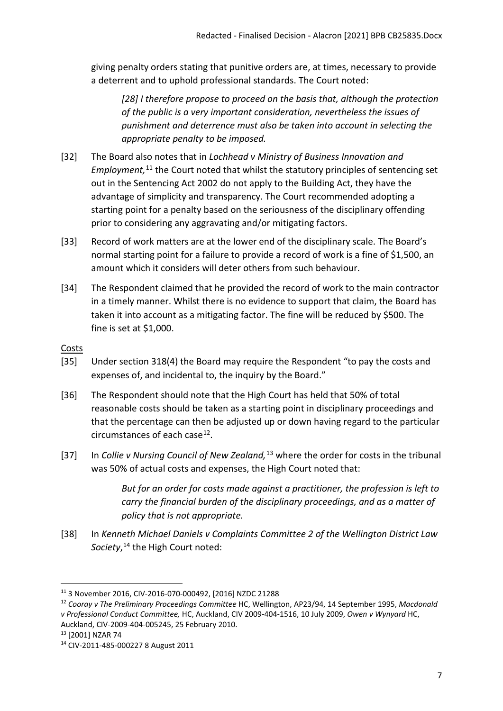giving penalty orders stating that punitive orders are, at times, necessary to provide a deterrent and to uphold professional standards. The Court noted:

*[28] I therefore propose to proceed on the basis that, although the protection of the public is a very important consideration, nevertheless the issues of punishment and deterrence must also be taken into account in selecting the appropriate penalty to be imposed.*

- [32] The Board also notes that in *Lochhead v Ministry of Business Innovation and*  Employment,<sup>[11](#page-6-1)</sup> the Court noted that whilst the statutory principles of sentencing set out in the Sentencing Act 2002 do not apply to the Building Act, they have the advantage of simplicity and transparency. The Court recommended adopting a starting point for a penalty based on the seriousness of the disciplinary offending prior to considering any aggravating and/or mitigating factors.
- [33] Record of work matters are at the lower end of the disciplinary scale. The Board's normal starting point for a failure to provide a record of work is a fine of \$1,500, an amount which it considers will deter others from such behaviour.
- [34] The Respondent claimed that he provided the record of work to the main contractor in a timely manner. Whilst there is no evidence to support that claim, the Board has taken it into account as a mitigating factor. The fine will be reduced by \$500. The fine is set at \$1,000.

#### <span id="page-6-0"></span>Costs

- [35] Under section 318(4) the Board may require the Respondent "to pay the costs and expenses of, and incidental to, the inquiry by the Board."
- [36] The Respondent should note that the High Court has held that 50% of total reasonable costs should be taken as a starting point in disciplinary proceedings and that the percentage can then be adjusted up or down having regard to the particular circumstances of each case $^{12}$ .
- [37] In *Collie v Nursing Council of New Zealand,*[13](#page-6-3) where the order for costs in the tribunal was 50% of actual costs and expenses, the High Court noted that:

*But for an order for costs made against a practitioner, the profession is left to carry the financial burden of the disciplinary proceedings, and as a matter of policy that is not appropriate.*

[38] In *Kenneth Michael Daniels v Complaints Committee 2 of the Wellington District Law Society*, [14](#page-6-4) the High Court noted:

<span id="page-6-2"></span><sup>12</sup> *Cooray v The Preliminary Proceedings Committee* HC, Wellington, AP23/94, 14 September 1995, *Macdonald v Professional Conduct Committee,* HC, Auckland, CIV 2009-404-1516, 10 July 2009, *Owen v Wynyard* HC,

<span id="page-6-1"></span><sup>11</sup> 3 November 2016, CIV-2016-070-000492, [2016] NZDC 21288

Auckland, CIV-2009-404-005245, 25 February 2010. 13 [2001] NZAR 74

<span id="page-6-3"></span>

<span id="page-6-4"></span><sup>14</sup> CIV-2011-485-000227 8 August 2011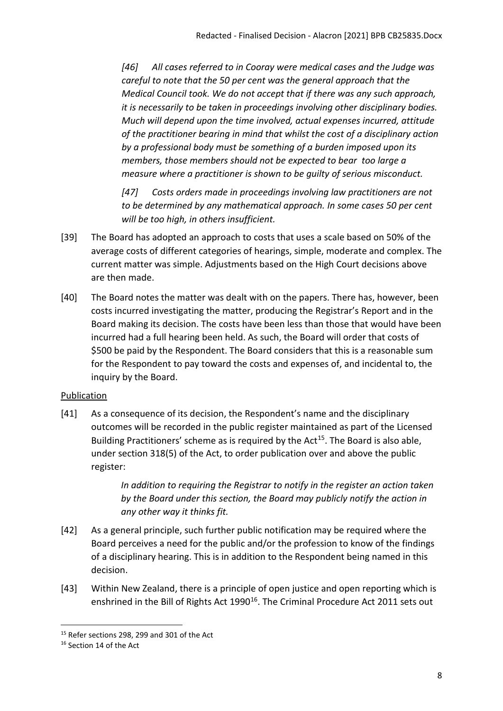*[46] All cases referred to in Cooray were medical cases and the Judge was careful to note that the 50 per cent was the general approach that the Medical Council took. We do not accept that if there was any such approach, it is necessarily to be taken in proceedings involving other disciplinary bodies. Much will depend upon the time involved, actual expenses incurred, attitude of the practitioner bearing in mind that whilst the cost of a disciplinary action by a professional body must be something of a burden imposed upon its members, those members should not be expected to bear too large a measure where a practitioner is shown to be guilty of serious misconduct.* 

*[47] Costs orders made in proceedings involving law practitioners are not to be determined by any mathematical approach. In some cases 50 per cent will be too high, in others insufficient.*

- [39] The Board has adopted an approach to costs that uses a scale based on 50% of the average costs of different categories of hearings, simple, moderate and complex. The current matter was simple. Adjustments based on the High Court decisions above are then made.
- [40] The Board notes the matter was dealt with on the papers. There has, however, been costs incurred investigating the matter, producing the Registrar's Report and in the Board making its decision. The costs have been less than those that would have been incurred had a full hearing been held. As such, the Board will order that costs of \$500 be paid by the Respondent. The Board considers that this is a reasonable sum for the Respondent to pay toward the costs and expenses of, and incidental to, the inquiry by the Board.

# <span id="page-7-0"></span>Publication

[41] As a consequence of its decision, the Respondent's name and the disciplinary outcomes will be recorded in the public register maintained as part of the Licensed Building Practitioners' scheme as is required by the Act<sup>[15](#page-7-1)</sup>. The Board is also able, under section 318(5) of the Act, to order publication over and above the public register:

> *In addition to requiring the Registrar to notify in the register an action taken by the Board under this section, the Board may publicly notify the action in any other way it thinks fit.*

- [42] As a general principle, such further public notification may be required where the Board perceives a need for the public and/or the profession to know of the findings of a disciplinary hearing. This is in addition to the Respondent being named in this decision.
- [43] Within New Zealand, there is a principle of open justice and open reporting which is enshrined in the Bill of Rights Act 1990<sup>16</sup>. The Criminal Procedure Act 2011 sets out

<span id="page-7-1"></span><sup>15</sup> Refer sections 298, 299 and 301 of the Act

<span id="page-7-2"></span><sup>16</sup> Section 14 of the Act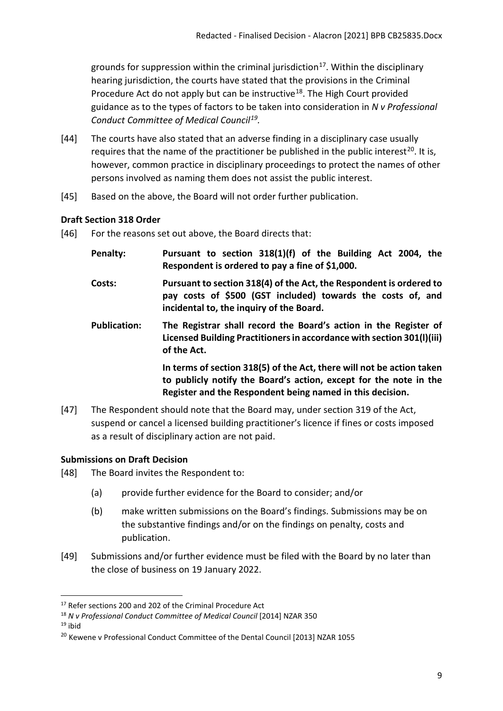grounds for suppression within the criminal jurisdiction<sup>17</sup>. Within the disciplinary hearing jurisdiction, the courts have stated that the provisions in the Criminal Procedure Act do not apply but can be instructive<sup>[18](#page-8-3)</sup>. The High Court provided guidance as to the types of factors to be taken into consideration in *N v Professional Conduct Committee of Medical Council[19](#page-8-4).* 

- [44] The courts have also stated that an adverse finding in a disciplinary case usually requires that the name of the practitioner be published in the public interest<sup>[20](#page-8-5)</sup>. It is, however, common practice in disciplinary proceedings to protect the names of other persons involved as naming them does not assist the public interest.
- [45] Based on the above, the Board will not order further publication.

# <span id="page-8-0"></span>**Draft Section 318 Order**

- [46] For the reasons set out above, the Board directs that:
	- **Penalty: Pursuant to section 318(1)(f) of the Building Act 2004, the Respondent is ordered to pay a fine of \$1,000.**
	- **Costs: Pursuant to section 318(4) of the Act, the Respondent is ordered to pay costs of \$500 (GST included) towards the costs of, and incidental to, the inquiry of the Board.**
	- **Publication: The Registrar shall record the Board's action in the Register of Licensed Building Practitioners in accordance with section 301(l)(iii) of the Act.**

**In terms of section 318(5) of the Act, there will not be action taken to publicly notify the Board's action, except for the note in the Register and the Respondent being named in this decision.**

[47] The Respondent should note that the Board may, under section 319 of the Act, suspend or cancel a licensed building practitioner's licence if fines or costs imposed as a result of disciplinary action are not paid.

# <span id="page-8-1"></span>**Submissions on Draft Decision**

- [48] The Board invites the Respondent to:
	- (a) provide further evidence for the Board to consider; and/or
	- (b) make written submissions on the Board's findings. Submissions may be on the substantive findings and/or on the findings on penalty, costs and publication.
- [49] Submissions and/or further evidence must be filed with the Board by no later than the close of business on 19 January 2022.

<span id="page-8-2"></span><sup>&</sup>lt;sup>17</sup> Refer sections 200 and 202 of the Criminal Procedure Act

<span id="page-8-3"></span><sup>18</sup> *N v Professional Conduct Committee of Medical Council* [2014] NZAR 350

<span id="page-8-4"></span> $19$  ibid

<span id="page-8-5"></span><sup>&</sup>lt;sup>20</sup> Kewene v Professional Conduct Committee of the Dental Council [2013] NZAR 1055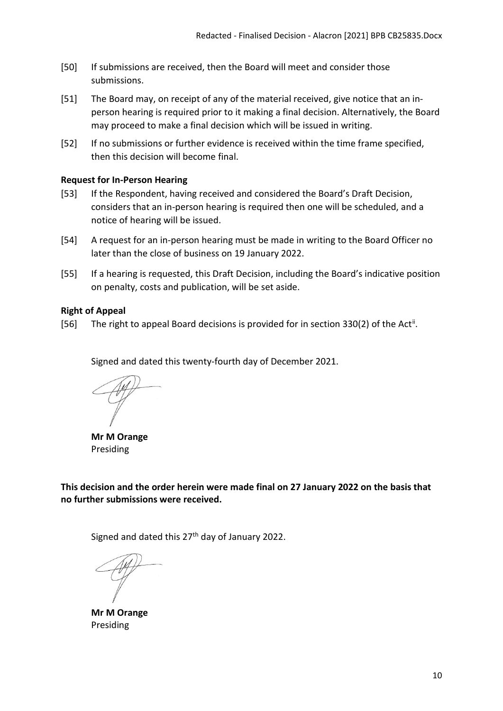- [50] If submissions are received, then the Board will meet and consider those submissions.
- [51] The Board may, on receipt of any of the material received, give notice that an inperson hearing is required prior to it making a final decision. Alternatively, the Board may proceed to make a final decision which will be issued in writing.
- [52] If no submissions or further evidence is received within the time frame specified, then this decision will become final.

#### <span id="page-9-0"></span>**Request for In-Person Hearing**

- [53] If the Respondent, having received and considered the Board's Draft Decision, considers that an in-person hearing is required then one will be scheduled, and a notice of hearing will be issued.
- [54] A request for an in-person hearing must be made in writing to the Board Officer no later than the close of business on 19 January 2022.
- [55] If a hearing is requested, this Draft Decision, including the Board's indicative position on penalty, costs and publication, will be set aside.

#### <span id="page-9-1"></span>**Right of Appeal**

[56] The right to appeal Board decisions is provided for in section 330(2) of the Act<sup>[ii](#page-10-1)</sup>.

Signed and dated this twenty-fourth day of December 2021.

**Mr M Orange** Presiding

**This decision and the order herein were made final on 27 January 2022 on the basis that no further submissions were received.**

Signed and dated this 27<sup>th</sup> day of January 2022.

**Mr M Orange** Presiding